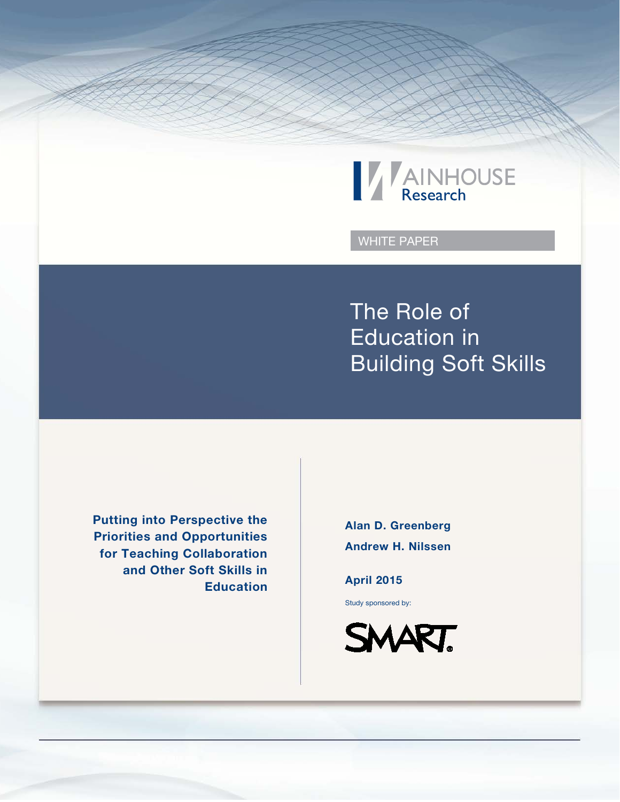

WHITE PAPER

The Role of Education in Building Soft Skills

Putting into Perspective the Priorities and Opportunities for Teaching Collaboration and Other Soft Skills in Education

Alan D. Greenberg Andrew H. Nilssen

April 2015

Study sponsored by:

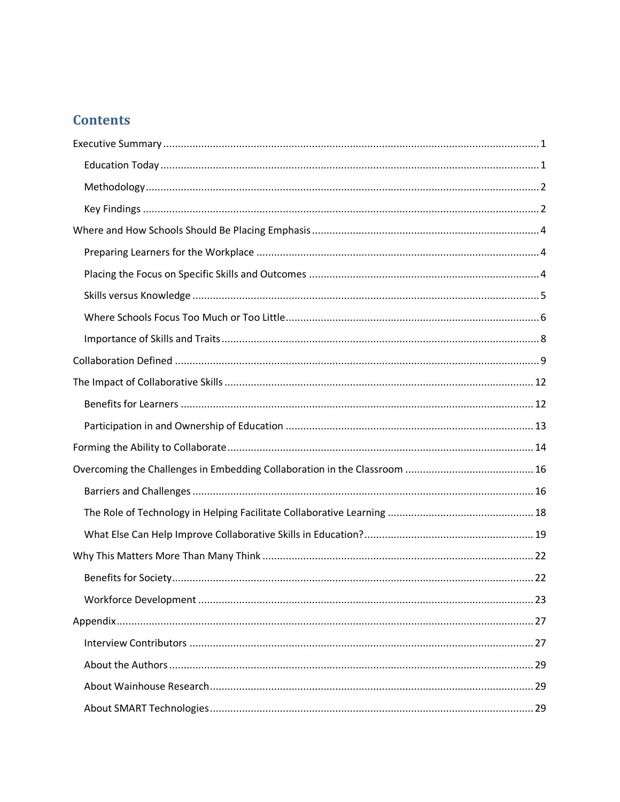# **Contents**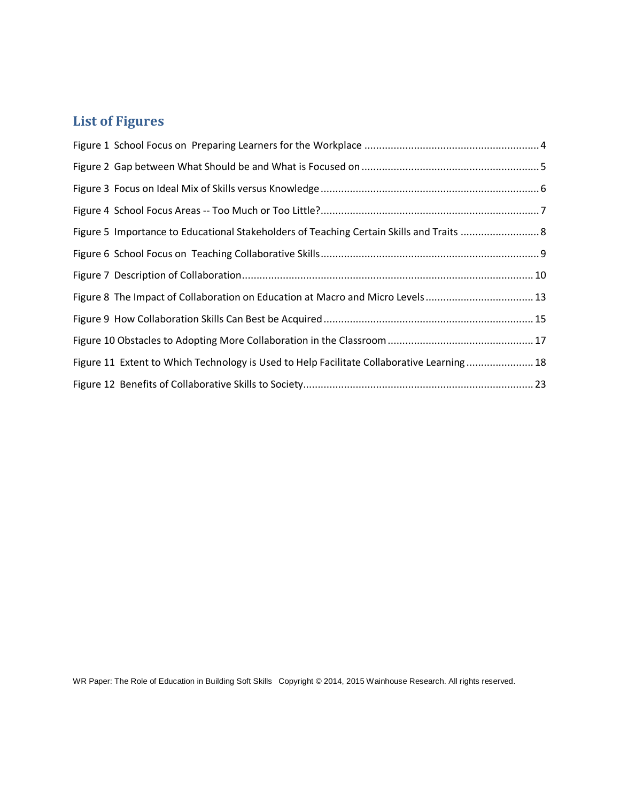# **List of Figures**

| Figure 8 The Impact of Collaboration on Education at Macro and Micro Levels 13            |  |
|-------------------------------------------------------------------------------------------|--|
|                                                                                           |  |
|                                                                                           |  |
| Figure 11 Extent to Which Technology is Used to Help Facilitate Collaborative Learning 18 |  |
|                                                                                           |  |

WR Paper: The Role of Education in Building Soft Skills Copyright © 2014, 2015 Wainhouse Research. All rights reserved.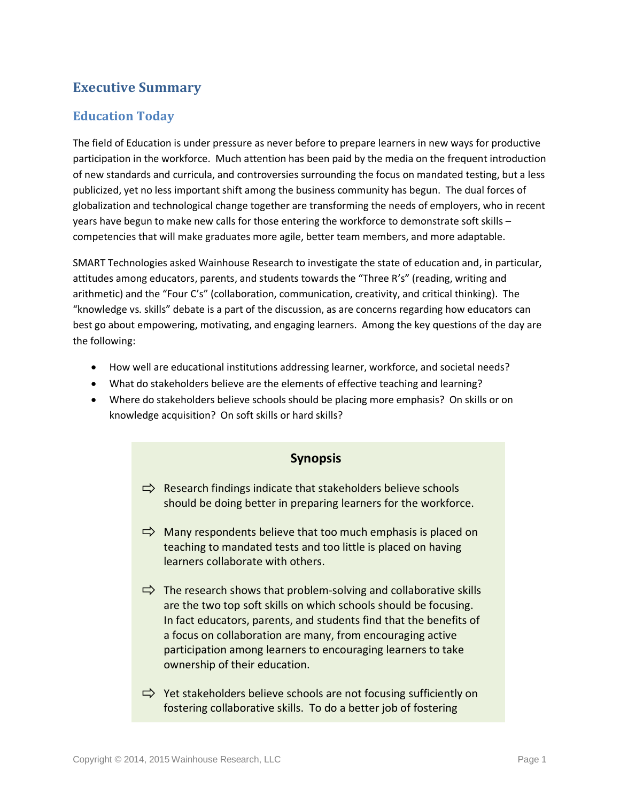## <span id="page-3-0"></span>**Executive Summary**

### <span id="page-3-1"></span>**Education Today**

The field of Education is under pressure as never before to prepare learners in new ways for productive participation in the workforce. Much attention has been paid by the media on the frequent introduction of new standards and curricula, and controversies surrounding the focus on mandated testing, but a less publicized, yet no less important shift among the business community has begun. The dual forces of globalization and technological change together are transforming the needs of employers, who in recent years have begun to make new calls for those entering the workforce to demonstrate soft skills – competencies that will make graduates more agile, better team members, and more adaptable.

SMART Technologies asked Wainhouse Research to investigate the state of education and, in particular, attitudes among educators, parents, and students towards the "Three R's" (reading, writing and arithmetic) and the "Four C's" (collaboration, communication, creativity, and critical thinking). The "knowledge vs. skills" debate is a part of the discussion, as are concerns regarding how educators can best go about empowering, motivating, and engaging learners. Among the key questions of the day are the following:

- How well are educational institutions addressing learner, workforce, and societal needs?
- What do stakeholders believe are the elements of effective teaching and learning?
- Where do stakeholders believe schools should be placing more emphasis? On skills or on knowledge acquisition? On soft skills or hard skills?

### **Synopsis**

- $\Rightarrow$  Research findings indicate that stakeholders believe schools should be doing better in preparing learners for the workforce.
- $\Rightarrow$  Many respondents believe that too much emphasis is placed on teaching to mandated tests and too little is placed on having learners collaborate with others.
- $\Rightarrow$  The research shows that problem-solving and collaborative skills are the two top soft skills on which schools should be focusing. In fact educators, parents, and students find that the benefits of a focus on collaboration are many, from encouraging active participation among learners to encouraging learners to take ownership of their education.
- $\Rightarrow$  Yet stakeholders believe schools are not focusing sufficiently on fostering collaborative skills. To do a better job of fostering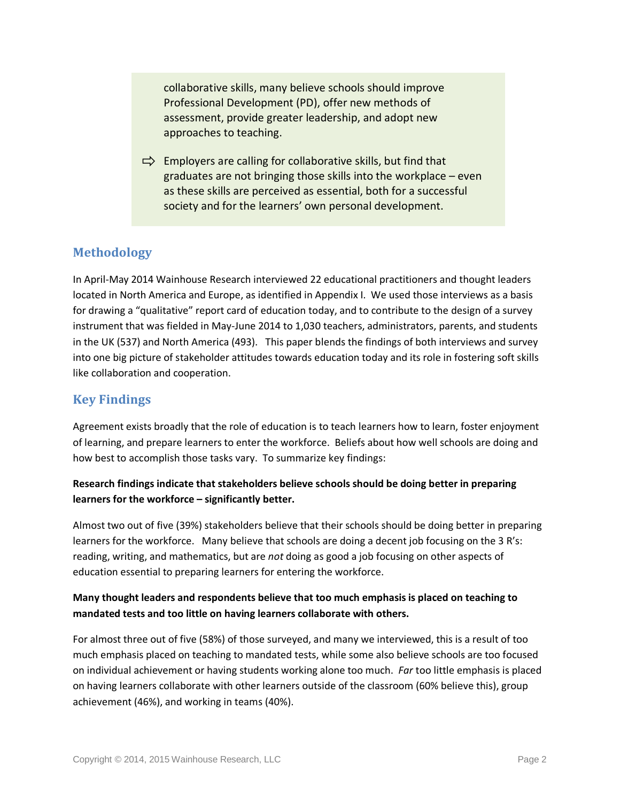collaborative skills, many believe schools should improve Professional Development (PD), offer new methods of assessment, provide greater leadership, and adopt new approaches to teaching.

 $\Rightarrow$  Employers are calling for collaborative skills, but find that graduates are not bringing those skills into the workplace – even as these skills are perceived as essential, both for a successful society and for the learners' own personal development.

### <span id="page-4-0"></span>**Methodology**

In April-May 2014 Wainhouse Research interviewed 22 educational practitioners and thought leaders located in North America and Europe, as identified in Appendix I. We used those interviews as a basis for drawing a "qualitative" report card of education today, and to contribute to the design of a survey instrument that was fielded in May-June 2014 to 1,030 teachers, administrators, parents, and students in the UK (537) and North America (493). This paper blends the findings of both interviews and survey into one big picture of stakeholder attitudes towards education today and its role in fostering soft skills like collaboration and cooperation.

### <span id="page-4-1"></span>**Key Findings**

Agreement exists broadly that the role of education is to teach learners how to learn, foster enjoyment of learning, and prepare learners to enter the workforce. Beliefs about how well schools are doing and how best to accomplish those tasks vary. To summarize key findings:

### **Research findings indicate that stakeholders believe schools should be doing better in preparing learners for the workforce – significantly better.**

Almost two out of five (39%) stakeholders believe that their schools should be doing better in preparing learners for the workforce. Many believe that schools are doing a decent job focusing on the 3 R's: reading, writing, and mathematics, but are *not* doing as good a job focusing on other aspects of education essential to preparing learners for entering the workforce.

### **Many thought leaders and respondents believe that too much emphasis is placed on teaching to mandated tests and too little on having learners collaborate with others.**

For almost three out of five (58%) of those surveyed, and many we interviewed, this is a result of too much emphasis placed on teaching to mandated tests, while some also believe schools are too focused on individual achievement or having students working alone too much. *Far* too little emphasis is placed on having learners collaborate with other learners outside of the classroom (60% believe this), group achievement (46%), and working in teams (40%).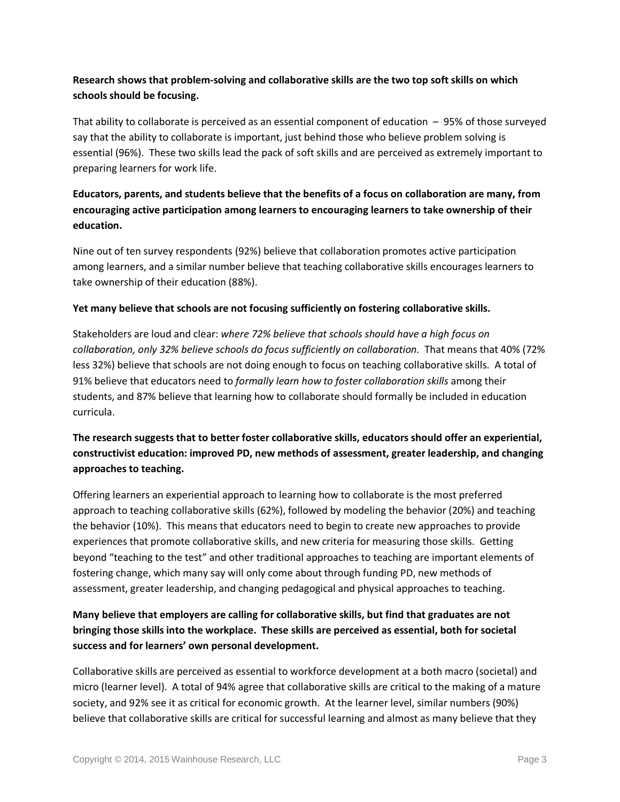### **Research shows that problem-solving and collaborative skills are the two top soft skills on which schools should be focusing.**

That ability to collaborate is perceived as an essential component of education – 95% of those surveyed say that the ability to collaborate is important, just behind those who believe problem solving is essential (96%). These two skills lead the pack of soft skills and are perceived as extremely important to preparing learners for work life.

### **Educators, parents, and students believe that the benefits of a focus on collaboration are many, from encouraging active participation among learners to encouraging learners to take ownership of their education.**

Nine out of ten survey respondents (92%) believe that collaboration promotes active participation among learners, and a similar number believe that teaching collaborative skills encourages learners to take ownership of their education (88%).

### **Yet many believe that schools are not focusing sufficiently on fostering collaborative skills.**

Stakeholders are loud and clear: *where 72% believe that schools should have a high focus on collaboration, only 32% believe schools do focus sufficiently on collaboration.* That means that 40% (72% less 32%) believe that schools are not doing enough to focus on teaching collaborative skills. A total of 91% believe that educators need to *formally learn how to foster collaboration skills* among their students, and 87% believe that learning how to collaborate should formally be included in education curricula.

### **The research suggests that to better foster collaborative skills, educators should offer an experiential, constructivist education: improved PD, new methods of assessment, greater leadership, and changing approaches to teaching.**

Offering learners an experiential approach to learning how to collaborate is the most preferred approach to teaching collaborative skills (62%), followed by modeling the behavior (20%) and teaching the behavior (10%). This means that educators need to begin to create new approaches to provide experiences that promote collaborative skills, and new criteria for measuring those skills. Getting beyond "teaching to the test" and other traditional approaches to teaching are important elements of fostering change, which many say will only come about through funding PD, new methods of assessment, greater leadership, and changing pedagogical and physical approaches to teaching.

### **Many believe that employers are calling for collaborative skills, but find that graduates are not bringing those skills into the workplace. These skills are perceived as essential, both for societal success and for learners' own personal development.**

Collaborative skills are perceived as essential to workforce development at a both macro (societal) and micro (learner level). A total of 94% agree that collaborative skills are critical to the making of a mature society, and 92% see it as critical for economic growth. At the learner level, similar numbers (90%) believe that collaborative skills are critical for successful learning and almost as many believe that they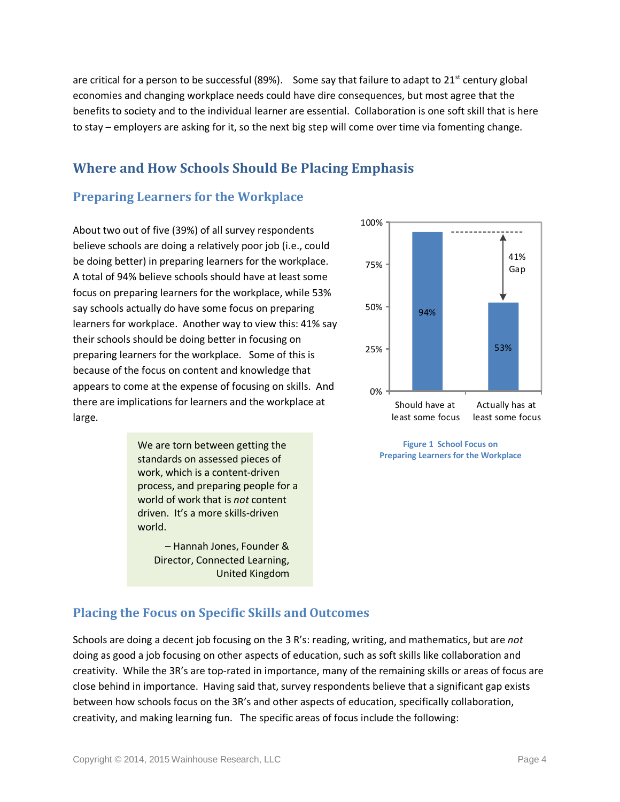are critical for a person to be successful (89%). Some say that failure to adapt to  $21^{st}$  century global economies and changing workplace needs could have dire consequences, but most agree that the benefits to society and to the individual learner are essential. Collaboration is one soft skill that is here to stay – employers are asking for it, so the next big step will come over time via fomenting change.

# <span id="page-6-0"></span>**Where and How Schools Should Be Placing Emphasis**

### <span id="page-6-1"></span>**Preparing Learners for the Workplace**

About two out of five (39%) of all survey respondents believe schools are doing a relatively poor job (i.e., could be doing better) in preparing learners for the workplace. A total of 94% believe schools should have at least some focus on preparing learners for the workplace, while 53% say schools actually do have some focus on preparing learners for workplace. Another way to view this: 41% say their schools should be doing better in focusing on preparing learners for the workplace. Some of this is because of the focus on content and knowledge that appears to come at the expense of focusing on skills. And there are implications for learners and the workplace at large.

> We are torn between getting the standards on assessed pieces of work, which is a content-driven process, and preparing people for a world of work that is *not* content driven. It's a more skills-driven world.

> > – Hannah Jones, Founder & Director, Connected Learning, United Kingdom



<span id="page-6-3"></span>**Figure 1 School Focus on Preparing Learners for the Workplace**

### <span id="page-6-2"></span>**Placing the Focus on Specific Skills and Outcomes**

Schools are doing a decent job focusing on the 3 R's: reading, writing, and mathematics, but are *not*  doing as good a job focusing on other aspects of education, such as soft skills like collaboration and creativity. While the 3R's are top-rated in importance, many of the remaining skills or areas of focus are close behind in importance. Having said that, survey respondents believe that a significant gap exists between how schools focus on the 3R's and other aspects of education, specifically collaboration, creativity, and making learning fun. The specific areas of focus include the following: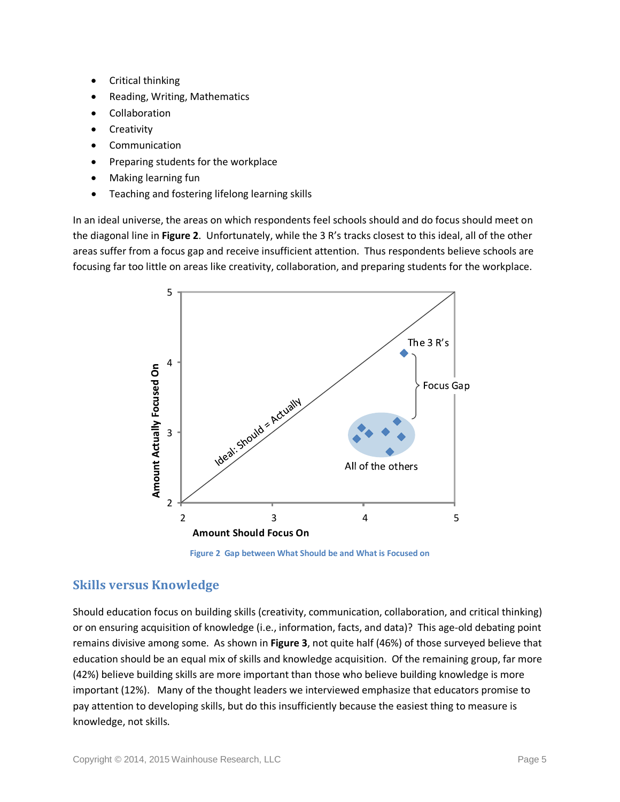- Critical thinking
- Reading, Writing, Mathematics
- **Collaboration**
- **Creativity**
- **Communication**
- Preparing students for the workplace
- Making learning fun
- Teaching and fostering lifelong learning skills

In an ideal universe, the areas on which respondents feel schools should and do focus should meet on the diagonal line in **[Figure 2](#page-7-1)**. Unfortunately, while the 3 R's tracks closest to this ideal, all of the other areas suffer from a focus gap and receive insufficient attention. Thus respondents believe schools are focusing far too little on areas like creativity, collaboration, and preparing students for the workplace.



**Figure 2 Gap between What Should be and What is Focused on**

### <span id="page-7-1"></span><span id="page-7-0"></span>**Skills versus Knowledge**

Should education focus on building skills (creativity, communication, collaboration, and critical thinking) or on ensuring acquisition of knowledge (i.e., information, facts, and data)? This age-old debating point remains divisive among some. As shown in **[Figure 3](#page-8-1)**, not quite half (46%) of those surveyed believe that education should be an equal mix of skills and knowledge acquisition. Of the remaining group, far more (42%) believe building skills are more important than those who believe building knowledge is more important (12%). Many of the thought leaders we interviewed emphasize that educators promise to pay attention to developing skills, but do this insufficiently because the easiest thing to measure is knowledge, not skills.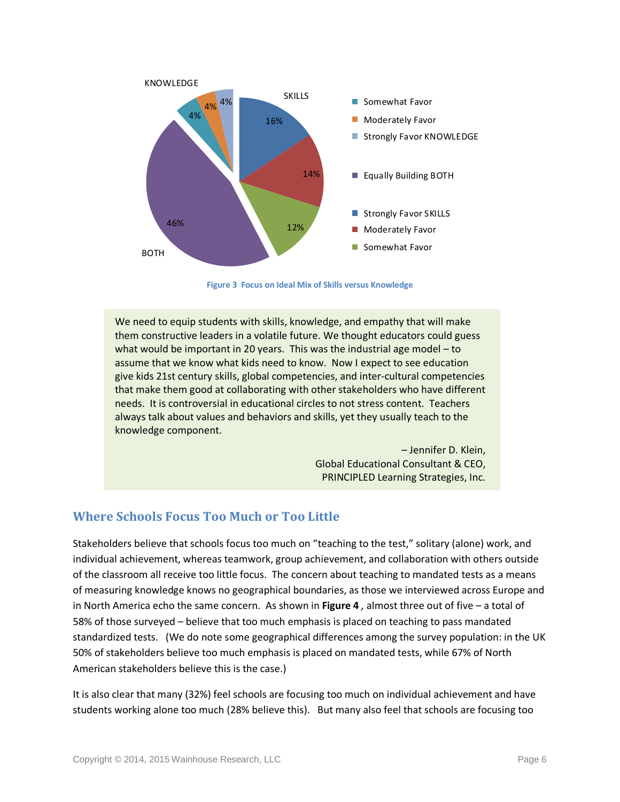

**Figure 3 Focus on Ideal Mix of Skills versus Knowledge**

<span id="page-8-1"></span>We need to equip students with skills, knowledge, and empathy that will make them constructive leaders in a volatile future. We thought educators could guess what would be important in 20 years. This was the industrial age model – to assume that we know what kids need to know. Now I expect to see education give kids 21st century skills, global competencies, and inter-cultural competencies that make them good at collaborating with other stakeholders who have different needs. It is controversial in educational circles to not stress content. Teachers always talk about values and behaviors and skills, yet they usually teach to the knowledge component.

> – Jennifer D. Klein, Global Educational Consultant & CEO, PRINCIPLED Learning Strategies, Inc.

### <span id="page-8-0"></span>**Where Schools Focus Too Much or Too Little**

Stakeholders believe that schools focus too much on "teaching to the test," solitary (alone) work, and individual achievement, whereas teamwork, group achievement, and collaboration with others outside of the classroom all receive too little focus. The concern about teaching to mandated tests as a means of measuring knowledge knows no geographical boundaries, as those we interviewed across Europe and in North America echo the same concern.As shown in **[Figure 4](#page-9-0)** *,* almost three out of five – a total of 58% of those surveyed – believe that too much emphasis is placed on teaching to pass mandated standardized tests. (We do note some geographical differences among the survey population: in the UK 50% of stakeholders believe too much emphasis is placed on mandated tests, while 67% of North American stakeholders believe this is the case.)

It is also clear that many (32%) feel schools are focusing too much on individual achievement and have students working alone too much (28% believe this). But many also feel that schools are focusing too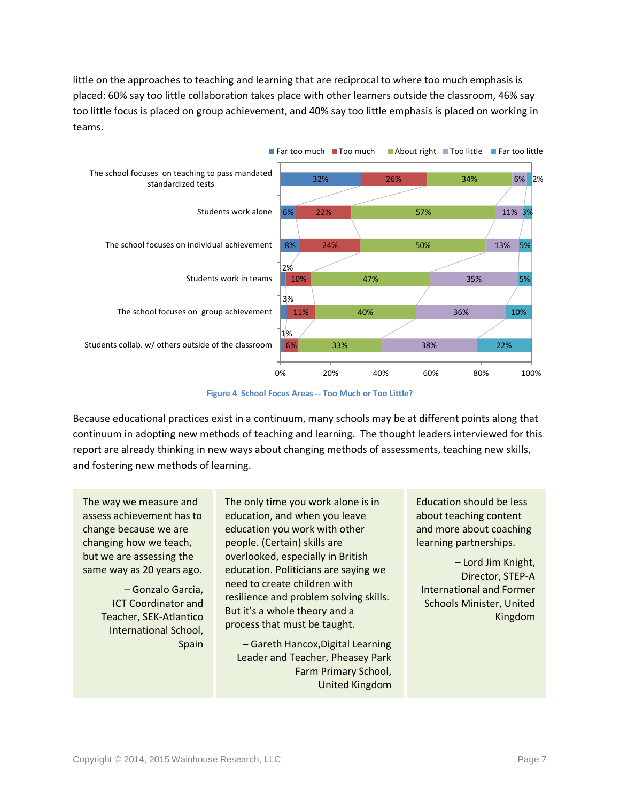little on the approaches to teaching and learning that are reciprocal to where too much emphasis is placed: 60% say too little collaboration takes place with other learners outside the classroom, 46% say too little focus is placed on group achievement, and 40% say too little emphasis is placed on working in teams.



**Figure 4 School Focus Areas -- Too Much or Too Little?**

<span id="page-9-0"></span>Because educational practices exist in a continuum, many schools may be at different points along that continuum in adopting new methods of teaching and learning. The thought leaders interviewed for this report are already thinking in new ways about changing methods of assessments, teaching new skills, and fostering new methods of learning.

The way we measure and assess achievement has to change because we are changing how we teach, but we are assessing the same way as 20 years ago.

> – Gonzalo Garcia, ICT Coordinator and Teacher, SEK-Atlantico International School, Spain

The only time you work alone is in education, and when you leave education you work with other people. (Certain) skills are overlooked, especially in British education. Politicians are saying we need to create children with resilience and problem solving skills. But it's a whole theory and a process that must be taught.

– Gareth Hancox,Digital Learning Leader and Teacher, Pheasey Park Farm Primary School, United Kingdom

Education should be less about teaching content and more about coaching learning partnerships.

– Lord Jim Knight, Director, STEP-A International and Former Schools Minister, United Kingdom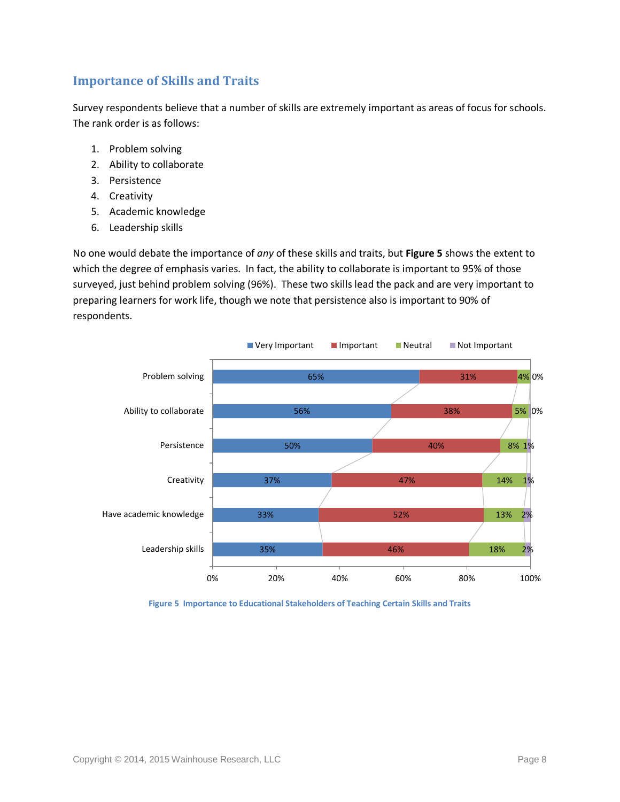### <span id="page-10-0"></span>**Importance of Skills and Traits**

Survey respondents believe that a number of skills are extremely important as areas of focus for schools. The rank order is as follows:

- 1. Problem solving
- 2. Ability to collaborate
- 3. Persistence
- 4. Creativity
- 5. Academic knowledge
- 6. Leadership skills

No one would debate the importance of *any* of these skills and traits, but **[Figure 5](#page-10-1)** shows the extent to which the degree of emphasis varies. In fact, the ability to collaborate is important to 95% of those surveyed, just behind problem solving (96%). These two skills lead the pack and are very important to preparing learners for work life, though we note that persistence also is important to 90% of respondents.



<span id="page-10-1"></span>**Figure 5 Importance to Educational Stakeholders of Teaching Certain Skills and Traits**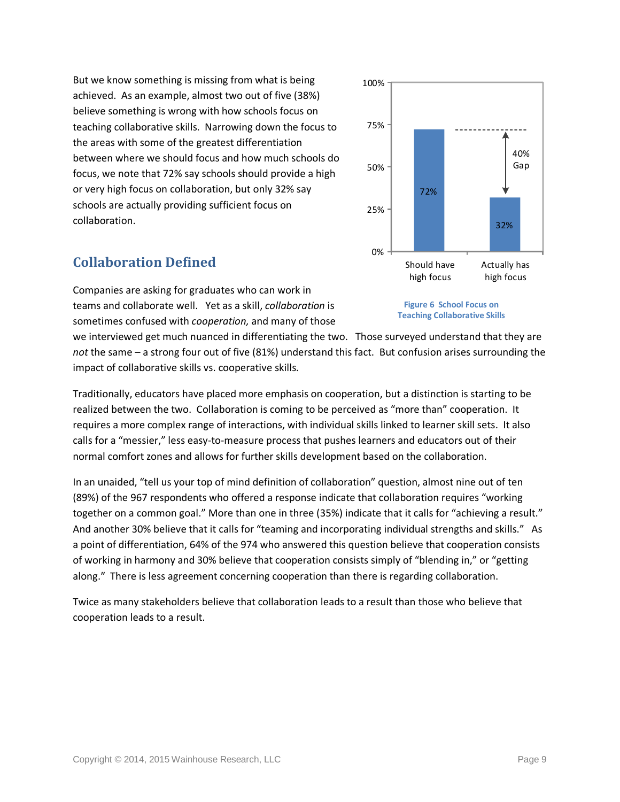But we know something is missing from what is being achieved. As an example, almost two out of five (38%) believe something is wrong with how schools focus on teaching collaborative skills. Narrowing down the focus to the areas with some of the greatest differentiation between where we should focus and how much schools do focus, we note that 72% say schools should provide a high or very high focus on collaboration, but only 32% say schools are actually providing sufficient focus on collaboration.

## <span id="page-11-0"></span>**Collaboration Defined**

Companies are asking for graduates who can work in teams and collaborate well. Yet as a skill, *collaboration* is sometimes confused with *cooperation,* and many of those

we interviewed get much nuanced in differentiating the two. Those surveyed understand that they are *not* the same – a strong four out of five (81%) understand this fact. But confusion arises surrounding the impact of collaborative skills vs. cooperative skills.

Traditionally, educators have placed more emphasis on cooperation, but a distinction is starting to be realized between the two. Collaboration is coming to be perceived as "more than" cooperation. It requires a more complex range of interactions, with individual skills linked to learner skill sets. It also calls for a "messier," less easy-to-measure process that pushes learners and educators out of their normal comfort zones and allows for further skills development based on the collaboration.

In an unaided, "tell us your top of mind definition of collaboration" question, almost nine out of ten (89%) of the 967 respondents who offered a response indicate that collaboration requires "working together on a common goal." More than one in three (35%) indicate that it calls for "achieving a result." And another 30% believe that it calls for "teaming and incorporating individual strengths and skills." As a point of differentiation, 64% of the 974 who answered this question believe that cooperation consists of working in harmony and 30% believe that cooperation consists simply of "blending in," or "getting along." There is less agreement concerning cooperation than there is regarding collaboration.

Twice as many stakeholders believe that collaboration leads to a result than those who believe that cooperation leads to a result.





<span id="page-11-1"></span>**Figure 6 School Focus on Teaching Collaborative Skills**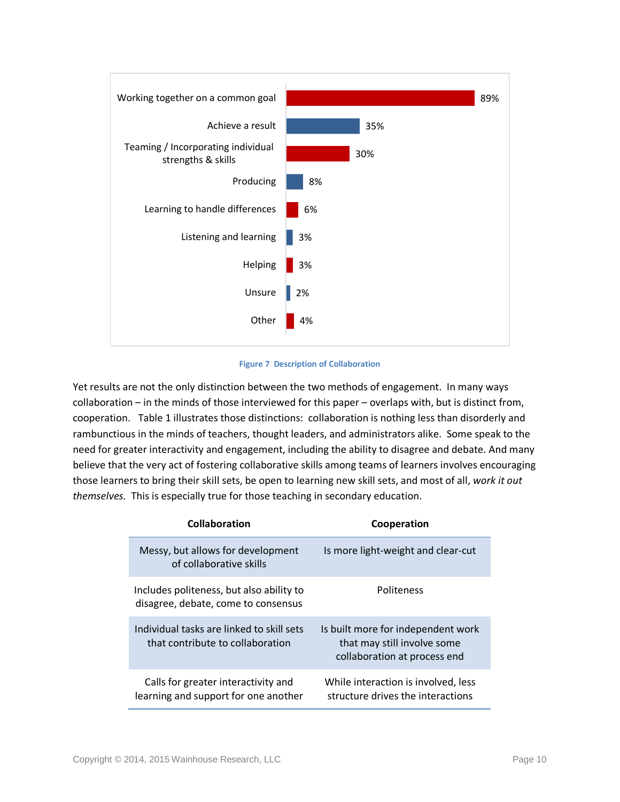

#### **Figure 7 Description of Collaboration**

<span id="page-12-0"></span>Yet results are not the only distinction between the two methods of engagement. In many ways collaboration – in the minds of those interviewed for this paper – overlaps with, but is distinct from, cooperation. [Table 1](#page-13-0) illustrates those distinctions: collaboration is nothing less than disorderly and rambunctious in the minds of teachers, thought leaders, and administrators alike. Some speak to the need for greater interactivity and engagement, including the ability to disagree and debate. And many believe that the very act of fostering collaborative skills among teams of learners involves encouraging those learners to bring their skill sets, be open to learning new skill sets, and most of all, *work it out themselves.* This is especially true for those teaching in secondary education.

| Collaboration                                                                   | Cooperation                                                                                       |
|---------------------------------------------------------------------------------|---------------------------------------------------------------------------------------------------|
| Messy, but allows for development<br>of collaborative skills                    | Is more light-weight and clear-cut                                                                |
| Includes politeness, but also ability to<br>disagree, debate, come to consensus | <b>Politeness</b>                                                                                 |
| Individual tasks are linked to skill sets<br>that contribute to collaboration   | Is built more for independent work<br>that may still involve some<br>collaboration at process end |
| Calls for greater interactivity and<br>learning and support for one another     | While interaction is involved, less<br>structure drives the interactions                          |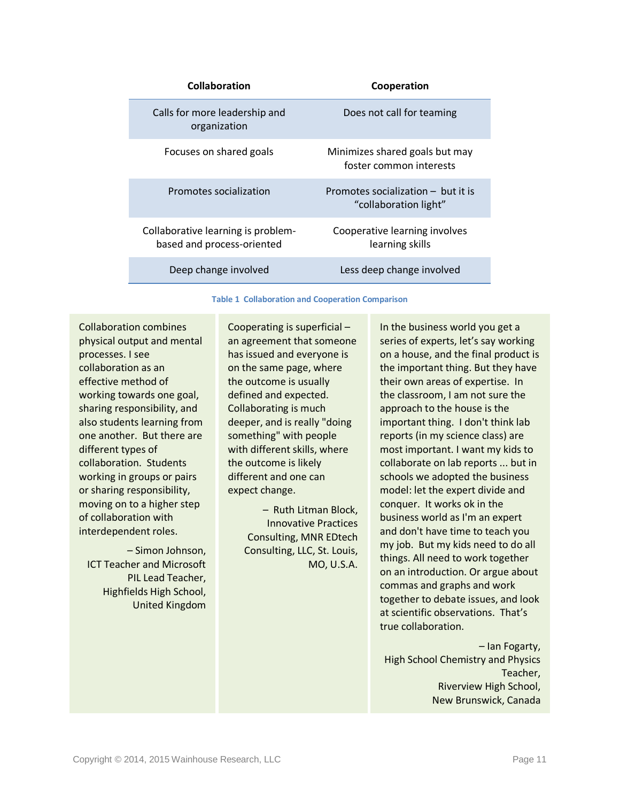| Collaboration                                                    | Cooperation                                                 |
|------------------------------------------------------------------|-------------------------------------------------------------|
| Calls for more leadership and<br>organization                    | Does not call for teaming                                   |
| Focuses on shared goals                                          | Minimizes shared goals but may<br>foster common interests   |
| Promotes socialization                                           | Promotes socialization - but it is<br>"collaboration light" |
| Collaborative learning is problem-<br>based and process-oriented | Cooperative learning involves<br>learning skills            |
| Deep change involved                                             | Less deep change involved                                   |

## **Table 1 Collaboration and Cooperation Comparison**

<span id="page-13-0"></span>Collaboration combines physical output and mental processes. I see collaboration as an effective method of working towards one goal, sharing responsibility, and also students learning from one another. But there are different types of collaboration. Students working in groups or pairs or sharing responsibility, moving on to a higher step of collaboration with interdependent roles.

– Simon Johnson, ICT Teacher and Microsoft PIL Lead Teacher, Highfields High School, United Kingdom Cooperating is superficial – an agreement that someone has issued and everyone is on the same page, where the outcome is usually defined and expected. Collaborating is much deeper, and is really "doing something" with people with different skills, where the outcome is likely different and one can expect change.

> – Ruth Litman Block, Innovative Practices Consulting, MNR EDtech Consulting, LLC, St. Louis, MO, U.S.A.

In the business world you get a series of experts, let's say working on a house, and the final product is the important thing. But they have their own areas of expertise. In the classroom, I am not sure the approach to the house is the important thing. I don't think lab reports (in my science class) are most important. I want my kids to collaborate on lab reports ... but in schools we adopted the business model: let the expert divide and conquer. It works ok in the business world as I'm an expert and don't have time to teach you my job. But my kids need to do all things. All need to work together on an introduction. Or argue about commas and graphs and work together to debate issues, and look at scientific observations. That's true collaboration.

– Ian Fogarty, High School Chemistry and Physics Teacher, Riverview High School, New Brunswick, Canada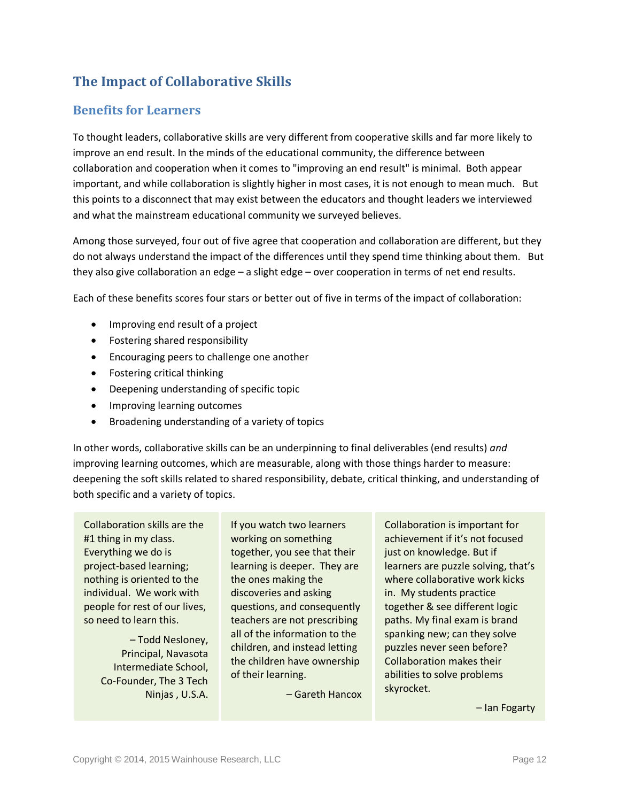# <span id="page-14-0"></span>**The Impact of Collaborative Skills**

### <span id="page-14-1"></span>**Benefits for Learners**

To thought leaders, collaborative skills are very different from cooperative skills and far more likely to improve an end result. In the minds of the educational community, the difference between collaboration and cooperation when it comes to "improving an end result" is minimal. Both appear important, and while collaboration is slightly higher in most cases, it is not enough to mean much. But this points to a disconnect that may exist between the educators and thought leaders we interviewed and what the mainstream educational community we surveyed believes.

Among those surveyed, four out of five agree that cooperation and collaboration are different, but they do not always understand the impact of the differences until they spend time thinking about them. But they also give collaboration an edge – a slight edge – over cooperation in terms of net end results.

Each of these benefits scores four stars or better out of five in terms of the impact of collaboration:

- Improving end result of a project
- Fostering shared responsibility
- Encouraging peers to challenge one another
- Fostering critical thinking
- Deepening understanding of specific topic
- Improving learning outcomes
- Broadening understanding of a variety of topics

In other words, collaborative skills can be an underpinning to final deliverables (end results) *and*  improving learning outcomes, which are measurable, along with those things harder to measure: deepening the soft skills related to shared responsibility, debate, critical thinking, and understanding of both specific and a variety of topics.

Collaboration skills are the #1 thing in my class. Everything we do is project-based learning; nothing is oriented to the individual. We work with people for rest of our lives, so need to learn this.

> – Todd Nesloney, Principal, Navasota Intermediate School, Co-Founder, The 3 Tech Ninjas , U.S.A.

If you watch two learners working on something together, you see that their learning is deeper. They are the ones making the discoveries and asking questions, and consequently teachers are not prescribing all of the information to the children, and instead letting the children have ownership of their learning.

– Gareth Hancox

Collaboration is important for achievement if it's not focused just on knowledge. But if learners are puzzle solving, that's where collaborative work kicks in. My students practice together & see different logic paths. My final exam is brand spanking new; can they solve puzzles never seen before? Collaboration makes their abilities to solve problems skyrocket.

– Ian Fogarty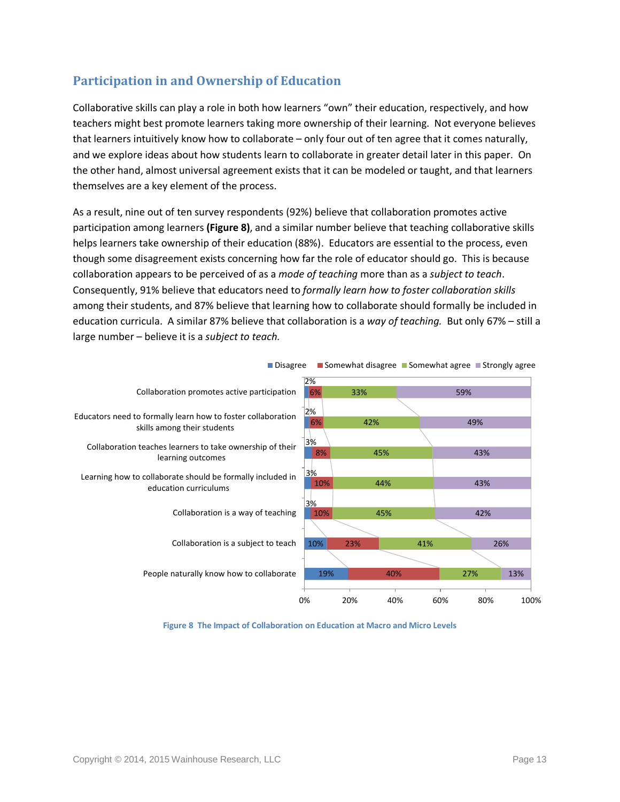## <span id="page-15-0"></span>**Participation in and Ownership of Education**

Collaborative skills can play a role in both how learners "own" their education, respectively, and how teachers might best promote learners taking more ownership of their learning. Not everyone believes that learners intuitively know how to collaborate – only four out of ten agree that it comes naturally, and we explore ideas about how students learn to collaborate in greater detail later in this paper. On the other hand, almost universal agreement exists that it can be modeled or taught, and that learners themselves are a key element of the process.

As a result, nine out of ten survey respondents (92%) believe that collaboration promotes active participation among learners **(Figure 8)**, and a similar number believe that teaching collaborative skills helps learners take ownership of their education (88%). Educators are essential to the process, even though some disagreement exists concerning how far the role of educator should go. This is because collaboration appears to be perceived of as a *mode of teaching* more than as a *subject to teach*. Consequently, 91% believe that educators need to *formally learn how to foster collaboration skills*  among their students, and 87% believe that learning how to collaborate should formally be included in education curricula. A similar 87% believe that collaboration is a *way of teaching.* But only 67% – still a large number – believe it is a *subject to teach.* 



<span id="page-15-1"></span>**Figure 8 The Impact of Collaboration on Education at Macro and Micro Levels**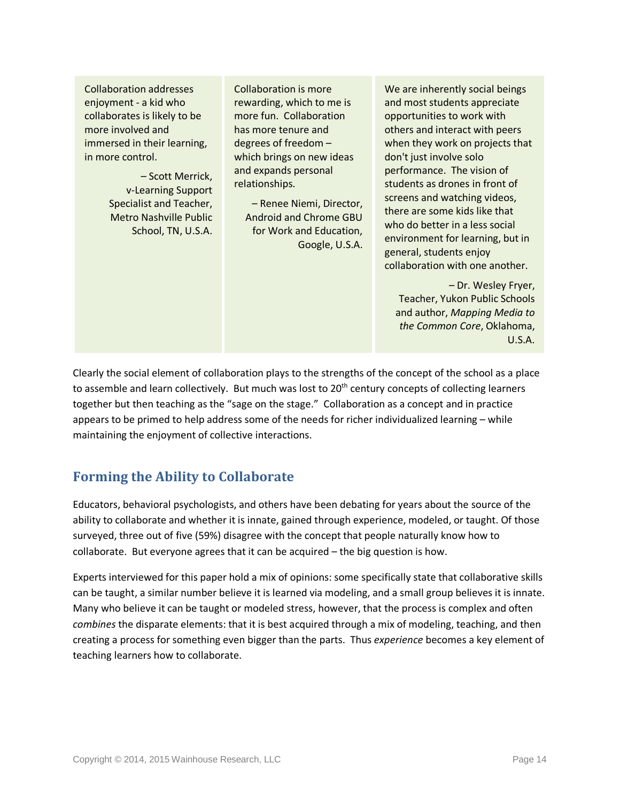Collaboration addresses enjoyment - a kid who collaborates is likely to be more involved and immersed in their learning, in more control.

> – Scott Merrick, v-Learning Support Specialist and Teacher, Metro Nashville Public School, TN, U.S.A.

Collaboration is more rewarding, which to me is more fun. Collaboration has more tenure and degrees of freedom – which brings on new ideas and expands personal relationships.

– Renee Niemi, Director, Android and Chrome GBU for Work and Education, Google, U.S.A. We are inherently social beings and most students appreciate opportunities to work with others and interact with peers when they work on projects that don't just involve solo performance. The vision of students as drones in front of screens and watching videos, there are some kids like that who do better in a less social environment for learning, but in general, students enjoy collaboration with one another.

– Dr. Wesley Fryer, Teacher, Yukon Public Schools and author, *Mapping Media to the Common Core*, Oklahoma, U.S.A.

Clearly the social element of collaboration plays to the strengths of the concept of the school as a place to assemble and learn collectively. But much was lost to  $20<sup>th</sup>$  century concepts of collecting learners together but then teaching as the "sage on the stage." Collaboration as a concept and in practice appears to be primed to help address some of the needs for richer individualized learning – while maintaining the enjoyment of collective interactions.

# <span id="page-16-0"></span>**Forming the Ability to Collaborate**

Educators, behavioral psychologists, and others have been debating for years about the source of the ability to collaborate and whether it is innate, gained through experience, modeled, or taught. Of those surveyed, three out of five (59%) disagree with the concept that people naturally know how to collaborate. But everyone agrees that it can be acquired – the big question is how.

Experts interviewed for this paper hold a mix of opinions: some specifically state that collaborative skills can be taught, a similar number believe it is learned via modeling, and a small group believes it is innate. Many who believe it can be taught or modeled stress, however, that the process is complex and often *combines* the disparate elements: that it is best acquired through a mix of modeling, teaching, and then creating a process for something even bigger than the parts. Thus *experience* becomes a key element of teaching learners how to collaborate.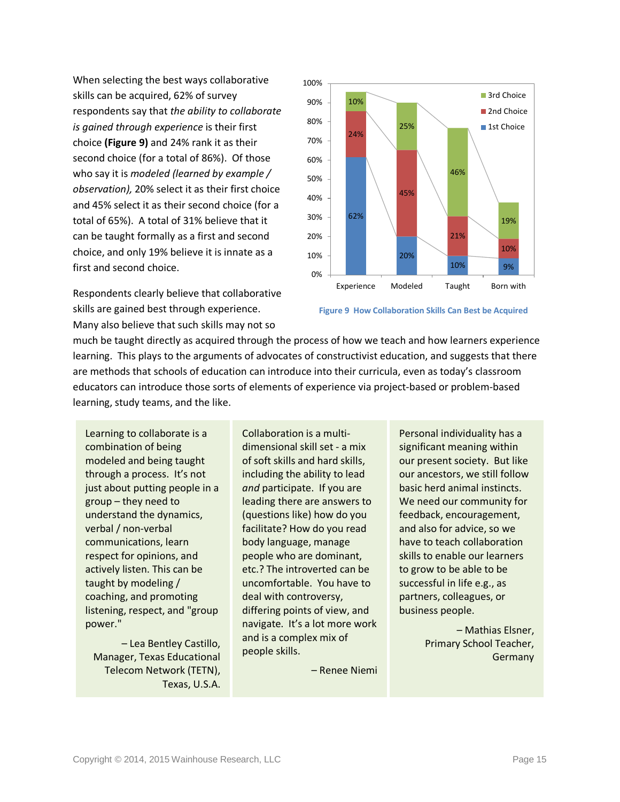When selecting the best ways collaborative skills can be acquired, 62% of survey respondents say that *the ability to collaborate is gained through experience* is their first choice **[\(Figure 9\)](#page-17-0)** and 24% rank it as their second choice (for a total of 86%). Of those who say it is *modeled (learned by example / observation),* 20% select it as their first choice and 45% select it as their second choice (for a total of 65%). A total of 31% believe that it can be taught formally as a first and second choice, and only 19% believe it is innate as a first and second choice.

Respondents clearly believe that collaborative skills are gained best through experience. Many also believe that such skills may not so



<span id="page-17-0"></span>**Figure 9 How Collaboration Skills Can Best be Acquired**

much be taught directly as acquired through the process of how we teach and how learners experience learning. This plays to the arguments of advocates of constructivist education, and suggests that there are methods that schools of education can introduce into their curricula, even as today's classroom educators can introduce those sorts of elements of experience via project-based or problem-based learning, study teams, and the like.

Learning to collaborate is a combination of being modeled and being taught through a process. It's not just about putting people in a group – they need to understand the dynamics, verbal / non-verbal communications, learn respect for opinions, and actively listen. This can be taught by modeling / coaching, and promoting listening, respect, and "group power."

– Lea Bentley Castillo, Manager, Texas Educational Telecom Network (TETN), Texas, U.S.A. Collaboration is a multidimensional skill set - a mix of soft skills and hard skills, including the ability to lead *and* participate. If you are leading there are answers to (questions like) how do you facilitate? How do you read body language, manage people who are dominant, etc.? The introverted can be uncomfortable. You have to deal with controversy, differing points of view, and navigate. It's a lot more work and is a complex mix of people skills.

– Renee Niemi

Personal individuality has a significant meaning within our present society. But like our ancestors, we still follow basic herd animal instincts. We need our community for feedback, encouragement, and also for advice, so we have to teach collaboration skills to enable our learners to grow to be able to be successful in life e.g., as partners, colleagues, or business people.

> – Mathias Elsner, Primary School Teacher, Germany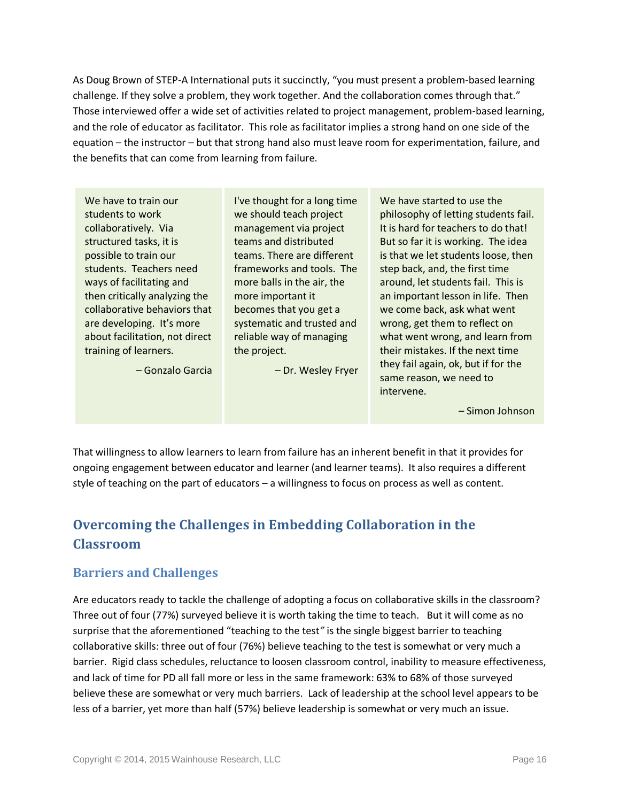As Doug Brown of STEP-A International puts it succinctly, "you must present a problem-based learning challenge. If they solve a problem, they work together. And the collaboration comes through that." Those interviewed offer a wide set of activities related to project management, problem-based learning, and the role of educator as facilitator. This role as facilitator implies a strong hand on one side of the equation – the instructor – but that strong hand also must leave room for experimentation, failure, and the benefits that can come from learning from failure.

We have to train our students to work collaboratively. Via structured tasks, it is possible to train our students. Teachers need ways of facilitating and then critically analyzing the collaborative behaviors that are developing. It's more about facilitation, not direct training of learners.

– Gonzalo Garcia

I've thought for a long time we should teach project management via project teams and distributed teams. There are different frameworks and tools. The more balls in the air, the more important it becomes that you get a systematic and trusted and reliable way of managing the project.

– Dr. Wesley Fryer

We have started to use the philosophy of letting students fail. It is hard for teachers to do that! But so far it is working. The idea is that we let students loose, then step back, and, the first time around, let students fail. This is an important lesson in life. Then we come back, ask what went wrong, get them to reflect on what went wrong, and learn from their mistakes. If the next time they fail again, ok, but if for the same reason, we need to intervene.

– Simon Johnson

That willingness to allow learners to learn from failure has an inherent benefit in that it provides for ongoing engagement between educator and learner (and learner teams). It also requires a different style of teaching on the part of educators – a willingness to focus on process as well as content.

# <span id="page-18-0"></span>**Overcoming the Challenges in Embedding Collaboration in the Classroom**

## <span id="page-18-1"></span>**Barriers and Challenges**

Are educators ready to tackle the challenge of adopting a focus on collaborative skills in the classroom? Three out of four (77%) surveyed believe it is worth taking the time to teach. But it will come as no surprise that the aforementioned "teaching to the test*"* is the single biggest barrier to teaching collaborative skills: three out of four (76%) believe teaching to the test is somewhat or very much a barrier. Rigid class schedules, reluctance to loosen classroom control, inability to measure effectiveness, and lack of time for PD all fall more or less in the same framework: 63% to 68% of those surveyed believe these are somewhat or very much barriers. Lack of leadership at the school level appears to be less of a barrier, yet more than half (57%) believe leadership is somewhat or very much an issue.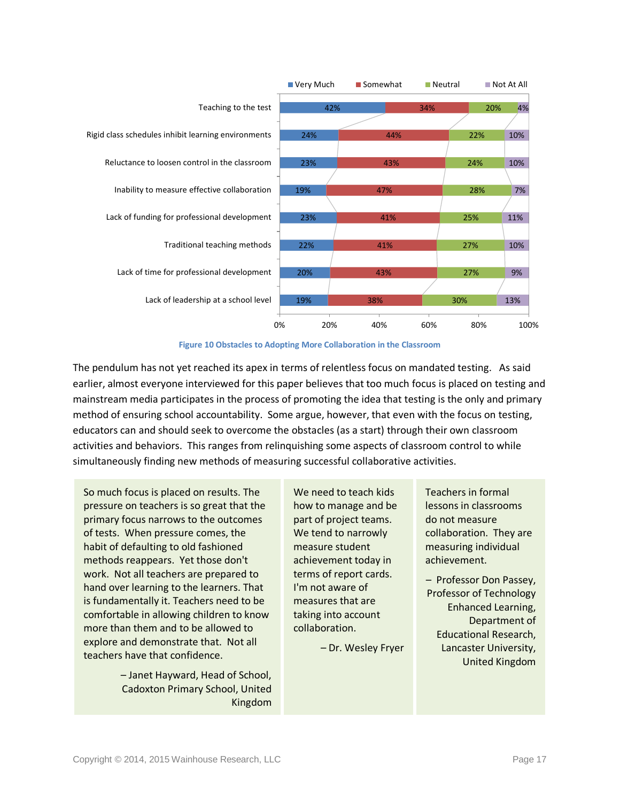

**Figure 10 Obstacles to Adopting More Collaboration in the Classroom**

<span id="page-19-0"></span>The pendulum has not yet reached its apex in terms of relentless focus on mandated testing. As said earlier, almost everyone interviewed for this paper believes that too much focus is placed on testing and mainstream media participates in the process of promoting the idea that testing is the only and primary method of ensuring school accountability. Some argue, however, that even with the focus on testing, educators can and should seek to overcome the obstacles (as a start) through their own classroom activities and behaviors. This ranges from relinquishing some aspects of classroom control to while simultaneously finding new methods of measuring successful collaborative activities.

So much focus is placed on results. The pressure on teachers is so great that the primary focus narrows to the outcomes of tests. When pressure comes, the habit of defaulting to old fashioned methods reappears. Yet those don't work. Not all teachers are prepared to hand over learning to the learners. That is fundamentally it. Teachers need to be comfortable in allowing children to know more than them and to be allowed to explore and demonstrate that. Not all teachers have that confidence.

> – Janet Hayward, Head of School, Cadoxton Primary School, United Kingdom

We need to teach kids how to manage and be part of project teams. We tend to narrowly measure student achievement today in terms of report cards. I'm not aware of measures that are taking into account collaboration.

– Dr. Wesley Fryer

Teachers in formal lessons in classrooms do not measure collaboration. They are measuring individual achievement.

– Professor Don Passey, Professor of Technology Enhanced Learning, Department of Educational Research, Lancaster University, United Kingdom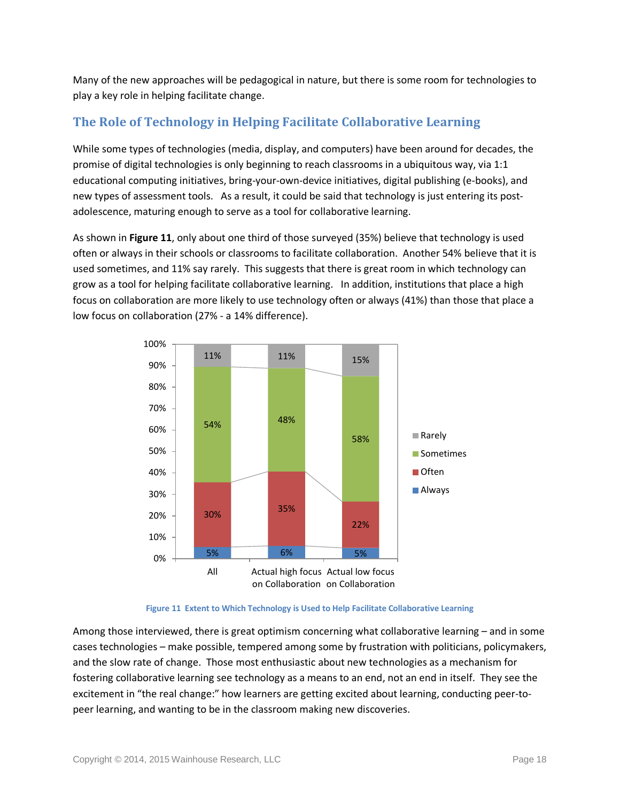Many of the new approaches will be pedagogical in nature, but there is some room for technologies to play a key role in helping facilitate change.

## <span id="page-20-0"></span>**The Role of Technology in Helping Facilitate Collaborative Learning**

While some types of technologies (media, display, and computers) have been around for decades, the promise of digital technologies is only beginning to reach classrooms in a ubiquitous way, via 1:1 educational computing initiatives, bring-your-own-device initiatives, digital publishing (e-books), and new types of assessment tools. As a result, it could be said that technology is just entering its postadolescence, maturing enough to serve as a tool for collaborative learning.

As shown in **[Figure 11](#page-20-2)**, only about one third of those surveyed (35%) believe that technology is used often or always in their schools or classrooms to facilitate collaboration. Another 54% believe that it is used sometimes, and 11% say rarely. This suggests that there is great room in which technology can grow as a tool for helping facilitate collaborative learning. In addition, institutions that place a high focus on collaboration are more likely to use technology often or always (41%) than those that place a low focus on collaboration (27% - a 14% difference).

<span id="page-20-2"></span>

**Figure 11 Extent to Which Technology is Used to Help Facilitate Collaborative Learning**

<span id="page-20-1"></span>Among those interviewed, there is great optimism concerning what collaborative learning – and in some cases technologies – make possible, tempered among some by frustration with politicians, policymakers, and the slow rate of change. Those most enthusiastic about new technologies as a mechanism for fostering collaborative learning see technology as a means to an end, not an end in itself. They see the excitement in "the real change:" how learners are getting excited about learning, conducting peer-topeer learning, and wanting to be in the classroom making new discoveries.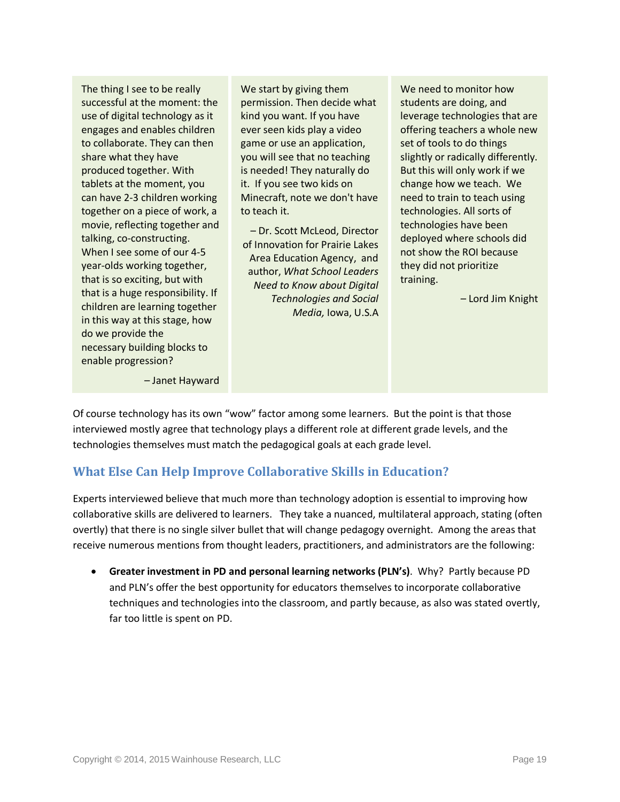The thing I see to be really successful at the moment: the use of digital technology as it engages and enables children to collaborate. They can then share what they have produced together. With tablets at the moment, you can have 2-3 children working together on a piece of work, a movie, reflecting together and talking, co-constructing. When I see some of our 4-5 year-olds working together, that is so exciting, but with that is a huge responsibility. If children are learning together in this way at this stage, how do we provide the necessary building blocks to enable progression?

We start by giving them permission. Then decide what kind you want. If you have ever seen kids play a video game or use an application, you will see that no teaching is needed! They naturally do it. If you see two kids on Minecraft, note we don't have to teach it.

– Dr. Scott McLeod, Director of Innovation for Prairie Lakes Area Education Agency, and author, *What School Leaders Need to Know about Digital Technologies and Social Media,* Iowa, U.S.A

We need to monitor how students are doing, and leverage technologies that are offering teachers a whole new set of tools to do things slightly or radically differently. But this will only work if we change how we teach. We need to train to teach using technologies. All sorts of technologies have been deployed where schools did not show the ROI because they did not prioritize training.

– Lord Jim Knight

– Janet Hayward

Of course technology has its own "wow" factor among some learners. But the point is that those interviewed mostly agree that technology plays a different role at different grade levels, and the technologies themselves must match the pedagogical goals at each grade level.

# <span id="page-21-0"></span>**What Else Can Help Improve Collaborative Skills in Education?**

Experts interviewed believe that much more than technology adoption is essential to improving how collaborative skills are delivered to learners. They take a nuanced, multilateral approach, stating (often overtly) that there is no single silver bullet that will change pedagogy overnight. Among the areas that receive numerous mentions from thought leaders, practitioners, and administrators are the following:

• **Greater investment in PD and personal learning networks (PLN's)**. Why? Partly because PD and PLN's offer the best opportunity for educators themselves to incorporate collaborative techniques and technologies into the classroom, and partly because, as also was stated overtly, far too little is spent on PD.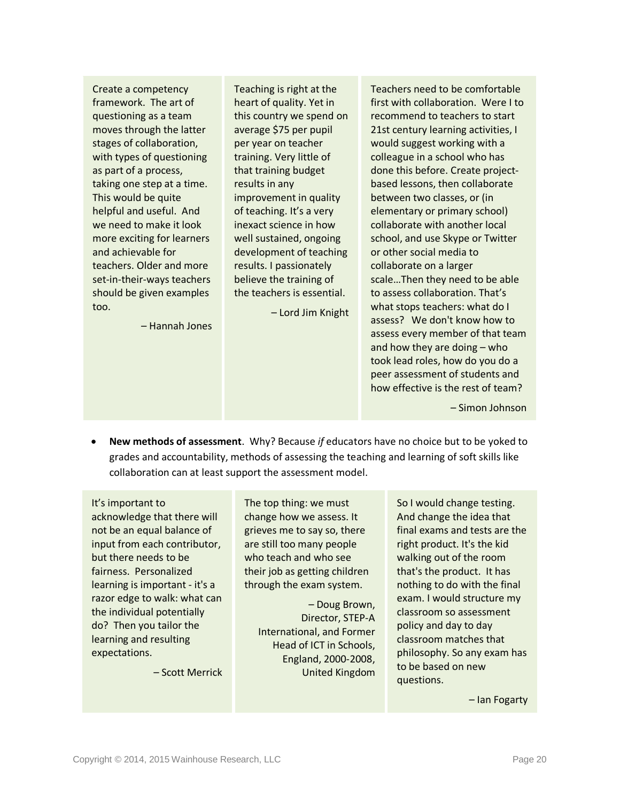Create a competency framework. The art of questioning as a team moves through the latter stages of collaboration, with types of questioning as part of a process, taking one step at a time. This would be quite helpful and useful. And we need to make it look more exciting for learners and achievable for teachers. Older and more set-in-their-ways teachers should be given examples too.

– Hannah Jones

Teaching is right at the heart of quality. Yet in this country we spend on average \$75 per pupil per year on teacher training. Very little of that training budget results in any improvement in quality of teaching. It's a very inexact science in how well sustained, ongoing development of teaching results. I passionately believe the training of the teachers is essential.

– Lord Jim Knight

Teachers need to be comfortable first with collaboration. Were I to recommend to teachers to start 21st century learning activities, I would suggest working with a colleague in a school who has done this before. Create projectbased lessons, then collaborate between two classes, or (in elementary or primary school) collaborate with another local school, and use Skype or Twitter or other social media to collaborate on a larger scale…Then they need to be able to assess collaboration. That's what stops teachers: what do I assess? We don't know how to assess every member of that team and how they are doing – who took lead roles, how do you do a peer assessment of students and how effective is the rest of team?

– Simon Johnson

• **New methods of assessment**. Why? Because *if* educators have no choice but to be yoked to grades and accountability, methods of assessing the teaching and learning of soft skills like collaboration can at least support the assessment model.

It's important to acknowledge that there will not be an equal balance of input from each contributor, but there needs to be fairness. Personalized learning is important - it's a razor edge to walk: what can the individual potentially do? Then you tailor the learning and resulting expectations.

– Scott Merrick

The top thing: we must change how we assess. It grieves me to say so, there are still too many people who teach and who see their job as getting children through the exam system.

> – Doug Brown, Director, STEP-A International, and Former Head of ICT in Schools, England, 2000-2008, United Kingdom

So I would change testing. And change the idea that final exams and tests are the right product. It's the kid walking out of the room that's the product. It has nothing to do with the final exam. I would structure my classroom so assessment policy and day to day classroom matches that philosophy. So any exam has to be based on new questions.

– Ian Fogarty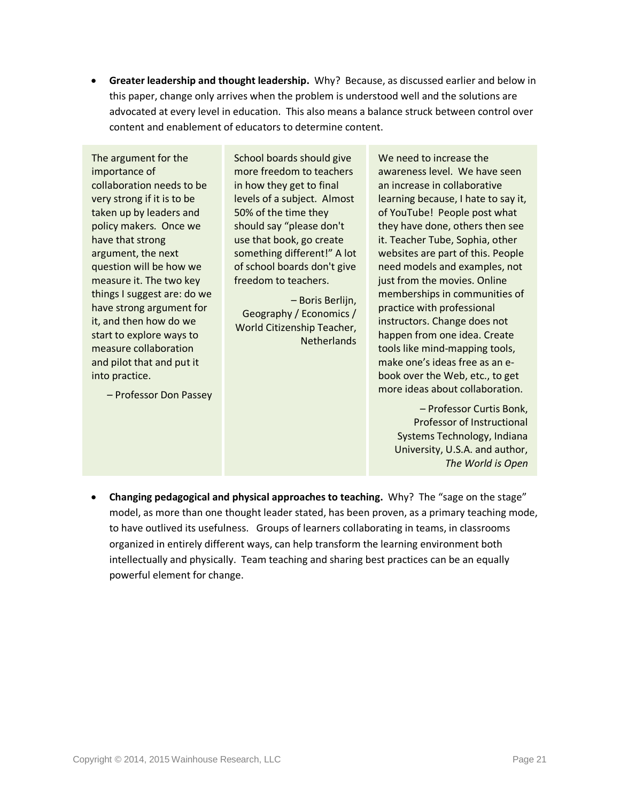• **Greater leadership and thought leadership.** Why? Because, as discussed earlier and below in this paper, change only arrives when the problem is understood well and the solutions are advocated at every level in education. This also means a balance struck between control over content and enablement of educators to determine content.

The argument for the importance of collaboration needs to be very strong if it is to be taken up by leaders and policy makers. Once we have that strong argument, the next question will be how we measure it. The two key things I suggest are: do we have strong argument for it, and then how do we start to explore ways to measure collaboration and pilot that and put it into practice.

– Professor Don Passey

School boards should give more freedom to teachers in how they get to final levels of a subject. Almost 50% of the time they should say "please don't use that book, go create something different!" A lot of school boards don't give freedom to teachers.

– Boris Berlijn, Geography / Economics / World Citizenship Teacher, **Netherlands**  We need to increase the awareness level. We have seen an increase in collaborative learning because, I hate to say it, of YouTube! People post what they have done, others then see it. Teacher Tube, Sophia, other websites are part of this. People need models and examples, not just from the movies. Online memberships in communities of practice with professional instructors. Change does not happen from one idea. Create tools like mind-mapping tools, make one's ideas free as an ebook over the Web, etc., to get more ideas about collaboration.

> – Professor Curtis Bonk, Professor of Instructional Systems Technology, Indiana University, U.S.A. and author, *The World is Open*

• **Changing pedagogical and physical approaches to teaching.** Why? The "sage on the stage" model, as more than one thought leader stated, has been proven, as a primary teaching mode, to have outlived its usefulness. Groups of learners collaborating in teams, in classrooms organized in entirely different ways, can help transform the learning environment both intellectually and physically. Team teaching and sharing best practices can be an equally powerful element for change.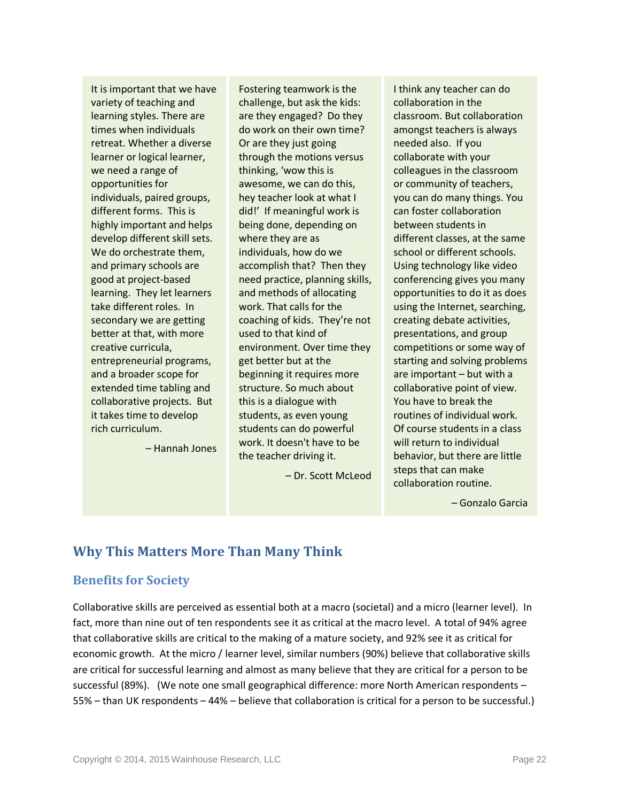It is important that we have variety of teaching and learning styles. There are times when individuals retreat. Whether a diverse learner or logical learner, we need a range of opportunities for individuals, paired groups, different forms. This is highly important and helps develop different skill sets. We do orchestrate them, and primary schools are good at project-based learning. They let learners take different roles. In secondary we are getting better at that, with more creative curricula, entrepreneurial programs, and a broader scope for extended time tabling and collaborative projects. But it takes time to develop rich curriculum.

– Hannah Jones

Fostering teamwork is the challenge, but ask the kids: are they engaged? Do they do work on their own time? Or are they just going through the motions versus thinking, 'wow this is awesome, we can do this, hey teacher look at what I did!' If meaningful work is being done, depending on where they are as individuals, how do we accomplish that? Then they need practice, planning skills, and methods of allocating work. That calls for the coaching of kids. They're not used to that kind of environment. Over time they get better but at the beginning it requires more structure. So much about this is a dialogue with students, as even young students can do powerful work. It doesn't have to be the teacher driving it.

– Dr. Scott McLeod

I think any teacher can do collaboration in the classroom. But collaboration amongst teachers is always needed also. If you collaborate with your colleagues in the classroom or community of teachers, you can do many things. You can foster collaboration between students in different classes, at the same school or different schools. Using technology like video conferencing gives you many opportunities to do it as does using the Internet, searching, creating debate activities, presentations, and group competitions or some way of starting and solving problems are important – but with a collaborative point of view. You have to break the routines of individual work. Of course students in a class will return to individual behavior, but there are little steps that can make collaboration routine.

– Gonzalo Garcia

# <span id="page-24-0"></span>**Why This Matters More Than Many Think**

### <span id="page-24-1"></span>**Benefits for Society**

Collaborative skills are perceived as essential both at a macro (societal) and a micro (learner level). In fact, more than nine out of ten respondents see it as critical at the macro level. A total of 94% agree that collaborative skills are critical to the making of a mature society, and 92% see it as critical for economic growth. At the micro / learner level, similar numbers (90%) believe that collaborative skills are critical for successful learning and almost as many believe that they are critical for a person to be successful (89%). (We note one small geographical difference: more North American respondents – 55% – than UK respondents – 44% – believe that collaboration is critical for a person to be successful.)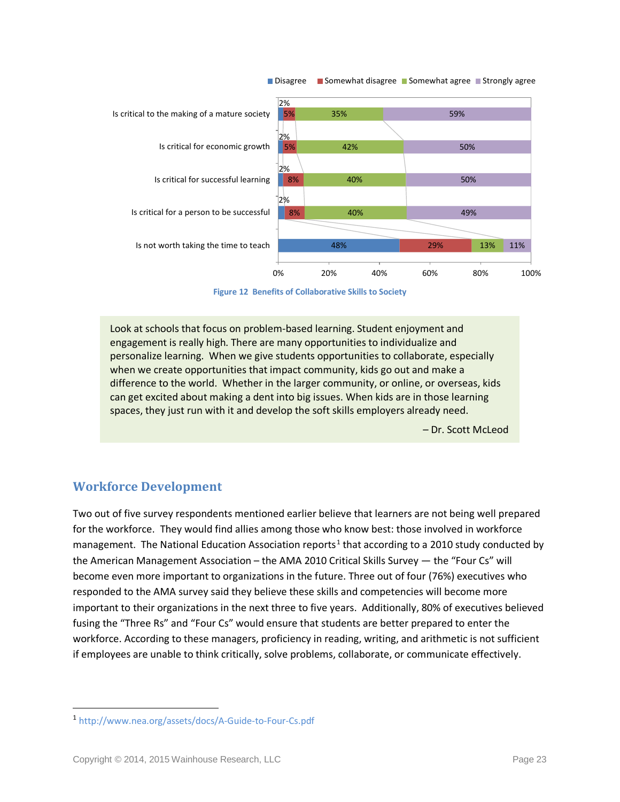

**Figure 12 Benefits of Collaborative Skills to Society**

<span id="page-25-1"></span>Look at schools that focus on problem-based learning. Student enjoyment and engagement is really high. There are many opportunities to individualize and personalize learning. When we give students opportunities to collaborate, especially when we create opportunities that impact community, kids go out and make a difference to the world. Whether in the larger community, or online, or overseas, kids can get excited about making a dent into big issues. When kids are in those learning spaces, they just run with it and develop the soft skills employers already need.

– Dr. Scott McLeod

### <span id="page-25-0"></span>**Workforce Development**

Two out of five survey respondents mentioned earlier believe that learners are not being well prepared for the workforce. They would find allies among those who know best: those involved in workforce management. The National Education Association reports<sup>[1](#page-25-2)</sup> that according to a 2010 study conducted by the American Management Association – the AMA 2010 Critical Skills Survey — the "Four Cs" will become even more important to organizations in the future. Three out of four (76%) executives who responded to the AMA survey said they believe these skills and competencies will become more important to their organizations in the next three to five years. Additionally, 80% of executives believed fusing the "Three Rs" and "Four Cs" would ensure that students are better prepared to enter the workforce. According to these managers, proficiency in reading, writing, and arithmetic is not sufficient if employees are unable to think critically, solve problems, collaborate, or communicate effectively.

 $\overline{\phantom{a}}$ 

<span id="page-25-2"></span><sup>1</sup> <http://www.nea.org/assets/docs/A-Guide-to-Four-Cs.pdf>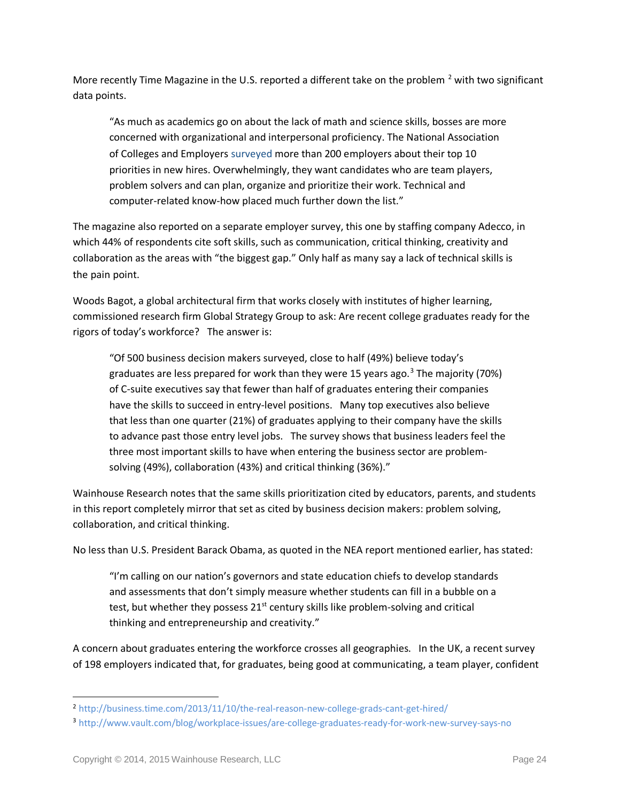More recently Time Magazine in the U.S. reported a different take on the problem  $^2$  $^2$  with two significant data points.

"As much as academics go on about the lack of math and science skills, bosses are more concerned with organizational and interpersonal proficiency. The National Association of Colleges and Employers [surveyed](http://www.naceweb.org/about-us/press/skills-qualities-employers-want.aspx) more than 200 employers about their top 10 priorities in new hires. Overwhelmingly, they want candidates who are team players, problem solvers and can plan, organize and prioritize their work. Technical and computer-related know-how placed much further down the list."

The magazine also reported on a separate employer survey, this one by staffing company Adecco, in which 44% of respondents cite soft skills, such as communication, critical thinking, creativity and collaboration as the areas with "the biggest gap." Only half as many say a lack of technical skills is the pain point.

Woods Bagot, a global architectural firm that works closely with institutes of higher learning, commissioned research firm Global Strategy Group to ask: Are recent college graduates ready for the rigors of today's workforce? The answer is:

"Of 500 business decision makers surveyed, close to half (49%) believe today's graduates are less prepared for work than they were 15 years ago.<sup>[3](#page-26-1)</sup> The majority (70%) of C-suite executives say that fewer than half of graduates entering their companies have the skills to succeed in entry-level positions. Many top executives also believe that less than one quarter (21%) of graduates applying to their company have the skills to advance past those entry level jobs. The survey shows that business leaders feel the three most important skills to have when entering the business sector are problemsolving (49%), collaboration (43%) and critical thinking (36%)."

Wainhouse Research notes that the same skills prioritization cited by educators, parents, and students in this report completely mirror that set as cited by business decision makers: problem solving, collaboration, and critical thinking.

No less than U.S. President Barack Obama, as quoted in the NEA report mentioned earlier, has stated:

"I'm calling on our nation's governors and state education chiefs to develop standards and assessments that don't simply measure whether students can fill in a bubble on a test, but whether they possess  $21<sup>st</sup>$  century skills like problem-solving and critical thinking and entrepreneurship and creativity."

A concern about graduates entering the workforce crosses all geographies. In the UK, a recent survey of 198 employers indicated that, for graduates, being good at communicating, a team player, confident

 $\overline{a}$ 

<span id="page-26-0"></span><sup>2</sup> <http://business.time.com/2013/11/10/the-real-reason-new-college-grads-cant-get-hired/>

<span id="page-26-1"></span><sup>3</sup> <http://www.vault.com/blog/workplace-issues/are-college-graduates-ready-for-work-new-survey-says-no>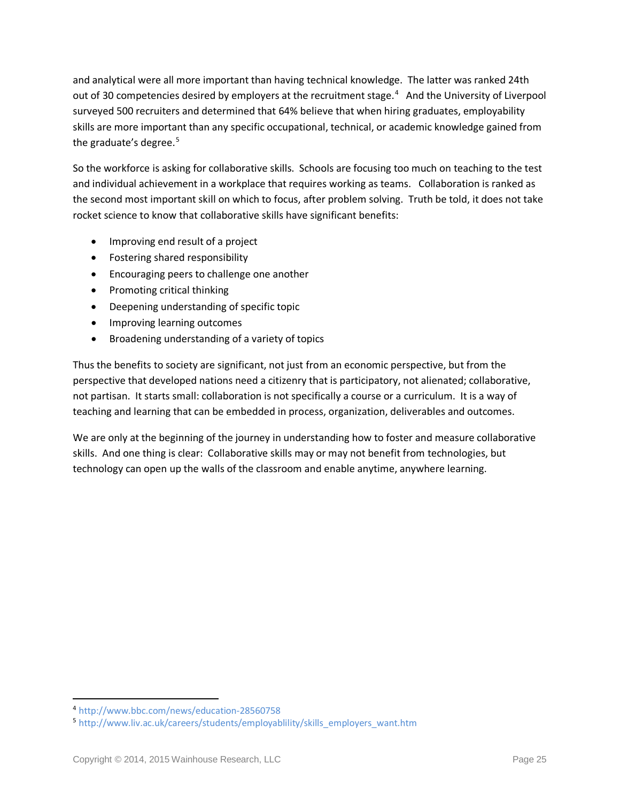and analytical were all more important than having technical knowledge. The latter was ranked 24th out of 30 competencies desired by employers at the recruitment stage.<sup>[4](#page-27-0)</sup> And the University of Liverpool surveyed 500 recruiters and determined that 64% believe that when hiring graduates, employability skills are more important than any specific occupational, technical, or academic knowledge gained from the graduate's degree. $5$ 

So the workforce is asking for collaborative skills. Schools are focusing too much on teaching to the test and individual achievement in a workplace that requires working as teams. Collaboration is ranked as the second most important skill on which to focus, after problem solving. Truth be told, it does not take rocket science to know that collaborative skills have significant benefits:

- Improving end result of a project
- Fostering shared responsibility
- Encouraging peers to challenge one another
- Promoting critical thinking
- Deepening understanding of specific topic
- Improving learning outcomes
- Broadening understanding of a variety of topics

Thus the benefits to society are significant, not just from an economic perspective, but from the perspective that developed nations need a citizenry that is participatory, not alienated; collaborative, not partisan. It starts small: collaboration is not specifically a course or a curriculum. It is a way of teaching and learning that can be embedded in process, organization, deliverables and outcomes.

We are only at the beginning of the journey in understanding how to foster and measure collaborative skills. And one thing is clear: Collaborative skills may or may not benefit from technologies, but technology can open up the walls of the classroom and enable anytime, anywhere learning.

 $\overline{a}$ 

<span id="page-27-0"></span><sup>4</sup> <http://www.bbc.com/news/education-28560758>

<span id="page-27-1"></span><sup>5</sup> [http://www.liv.ac.uk/careers/students/employablility/skills\\_employers\\_want.htm](http://www.liv.ac.uk/careers/students/employablility/skills_employers_want.htm)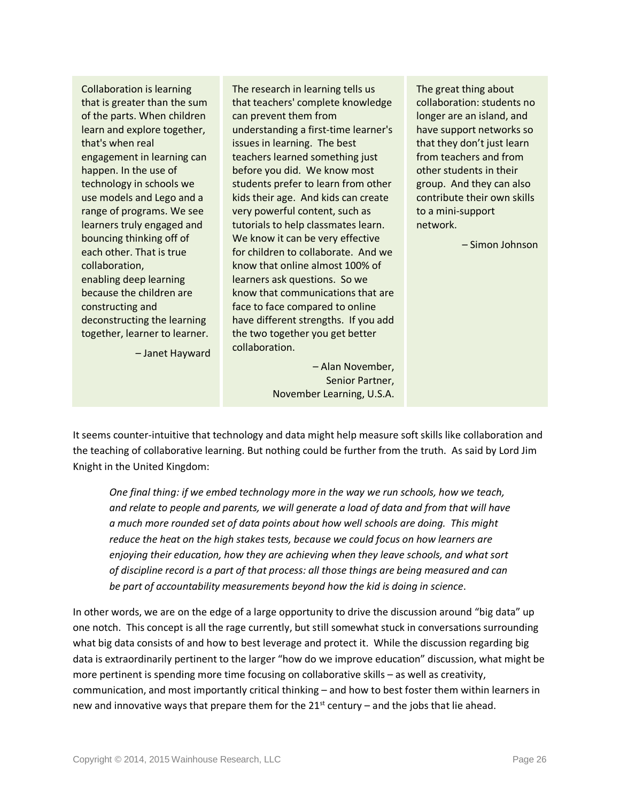Collaboration is learning that is greater than the sum of the parts. When children learn and explore together, that's when real engagement in learning can happen. In the use of technology in schools we use models and Lego and a range of programs. We see learners truly engaged and bouncing thinking off of each other. That is true collaboration, enabling deep learning because the children are constructing and deconstructing the learning together, learner to learner.

– Janet Hayward

The research in learning tells us that teachers' complete knowledge can prevent them from understanding a first-time learner's issues in learning. The best teachers learned something just before you did. We know most students prefer to learn from other kids their age. And kids can create very powerful content, such as tutorials to help classmates learn. We know it can be very effective for children to collaborate. And we know that online almost 100% of learners ask questions. So we know that communications that are face to face compared to online have different strengths. If you add the two together you get better collaboration.

> – Alan November, Senior Partner, November Learning, U.S.A.

The great thing about collaboration: students no longer are an island, and have support networks so that they don't just learn from teachers and from other students in their group. And they can also contribute their own skills to a mini-support network.

– Simon Johnson

It seems counter-intuitive that technology and data might help measure soft skills like collaboration and the teaching of collaborative learning. But nothing could be further from the truth. As said by Lord Jim Knight in the United Kingdom:

*One final thing: if we embed technology more in the way we run schools, how we teach, and relate to people and parents, we will generate a load of data and from that will have a much more rounded set of data points about how well schools are doing. This might reduce the heat on the high stakes tests, because we could focus on how learners are enjoying their education, how they are achieving when they leave schools, and what sort of discipline record is a part of that process: all those things are being measured and can be part of accountability measurements beyond how the kid is doing in science*.

In other words, we are on the edge of a large opportunity to drive the discussion around "big data" up one notch. This concept is all the rage currently, but still somewhat stuck in conversations surrounding what big data consists of and how to best leverage and protect it. While the discussion regarding big data is extraordinarily pertinent to the larger "how do we improve education" discussion, what might be more pertinent is spending more time focusing on collaborative skills – as well as creativity, communication, and most importantly critical thinking – and how to best foster them within learners in new and innovative ways that prepare them for the  $21^{st}$  century – and the jobs that lie ahead.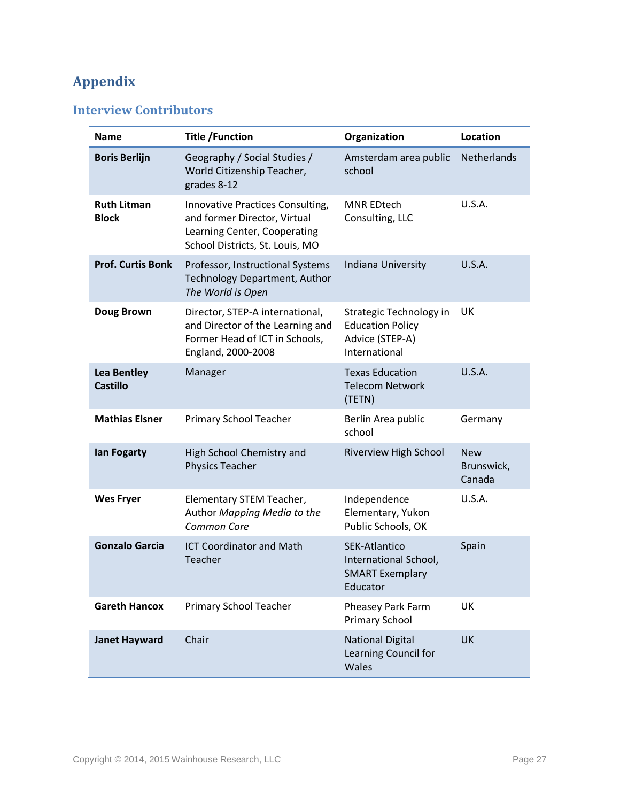# <span id="page-29-0"></span>**Appendix**

## <span id="page-29-1"></span>**Interview Contributors**

| <b>Name</b>                           | <b>Title /Function</b>                                                                                                              | Organization                                                                           | Location                           |
|---------------------------------------|-------------------------------------------------------------------------------------------------------------------------------------|----------------------------------------------------------------------------------------|------------------------------------|
| <b>Boris Berlijn</b>                  | Geography / Social Studies /<br>World Citizenship Teacher,<br>grades 8-12                                                           | Amsterdam area public<br>school                                                        | <b>Netherlands</b>                 |
| <b>Ruth Litman</b><br><b>Block</b>    | Innovative Practices Consulting,<br>and former Director, Virtual<br>Learning Center, Cooperating<br>School Districts, St. Louis, MO | <b>MNR EDtech</b><br>Consulting, LLC                                                   | U.S.A.                             |
| <b>Prof. Curtis Bonk</b>              | Professor, Instructional Systems<br><b>Technology Department, Author</b><br>The World is Open                                       | Indiana University                                                                     | <b>U.S.A.</b>                      |
| Doug Brown                            | Director, STEP-A international,<br>and Director of the Learning and<br>Former Head of ICT in Schools,<br>England, 2000-2008         | Strategic Technology in<br><b>Education Policy</b><br>Advice (STEP-A)<br>International | UK                                 |
| <b>Lea Bentley</b><br><b>Castillo</b> | Manager                                                                                                                             | <b>Texas Education</b><br><b>Telecom Network</b><br>(TETN)                             | U.S.A.                             |
| <b>Mathias Elsner</b>                 | <b>Primary School Teacher</b>                                                                                                       | Berlin Area public<br>school                                                           | Germany                            |
| lan Fogarty                           | High School Chemistry and<br>Physics Teacher                                                                                        | Riverview High School                                                                  | <b>New</b><br>Brunswick,<br>Canada |
| <b>Wes Fryer</b>                      | Elementary STEM Teacher,<br>Author Mapping Media to the<br>Common Core                                                              | Independence<br>Elementary, Yukon<br>Public Schools, OK                                | U.S.A.                             |
| <b>Gonzalo Garcia</b>                 | <b>ICT Coordinator and Math</b><br>Teacher                                                                                          | <b>SEK-Atlantico</b><br>International School,<br><b>SMART Exemplary</b><br>Educator    | Spain                              |
| <b>Gareth Hancox</b>                  | Primary School Teacher                                                                                                              | Pheasey Park Farm<br><b>Primary School</b>                                             | UK                                 |
| <b>Janet Hayward</b>                  | Chair                                                                                                                               | <b>National Digital</b><br>Learning Council for<br>Wales                               | <b>UK</b>                          |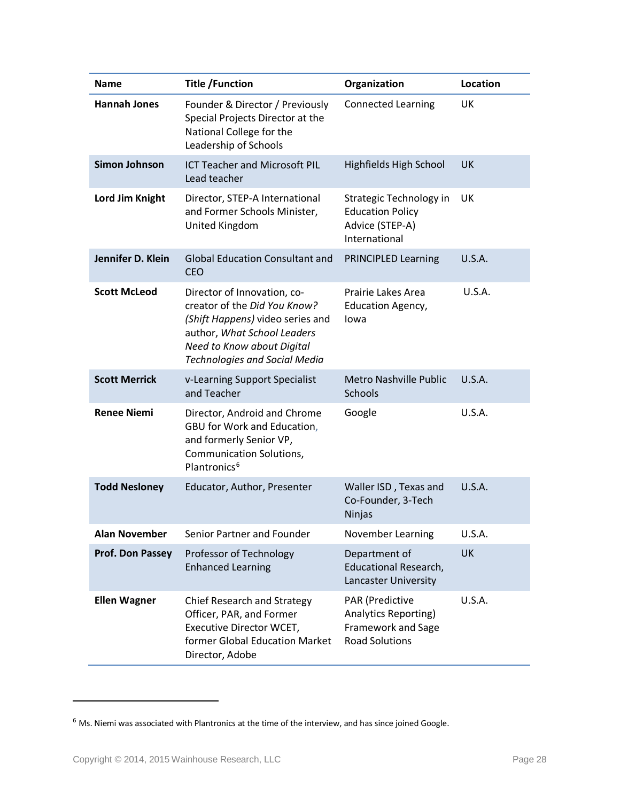| Name                    | <b>Title /Function</b>                                                                                                                                                                               | Organization                                                                                  | Location      |
|-------------------------|------------------------------------------------------------------------------------------------------------------------------------------------------------------------------------------------------|-----------------------------------------------------------------------------------------------|---------------|
| <b>Hannah Jones</b>     | Founder & Director / Previously<br>Special Projects Director at the<br>National College for the<br>Leadership of Schools                                                                             | <b>Connected Learning</b>                                                                     | UK            |
| <b>Simon Johnson</b>    | <b>ICT Teacher and Microsoft PIL</b><br>Lead teacher                                                                                                                                                 | <b>Highfields High School</b>                                                                 | <b>UK</b>     |
| Lord Jim Knight         | Director, STEP-A International<br>and Former Schools Minister,<br>United Kingdom                                                                                                                     | Strategic Technology in<br><b>Education Policy</b><br>Advice (STEP-A)<br>International        | UK            |
| Jennifer D. Klein       | <b>Global Education Consultant and</b><br><b>CEO</b>                                                                                                                                                 | <b>PRINCIPLED Learning</b>                                                                    | U.S.A.        |
| <b>Scott McLeod</b>     | Director of Innovation, co-<br>creator of the Did You Know?<br>(Shift Happens) video series and<br>author, What School Leaders<br>Need to Know about Digital<br><b>Technologies and Social Media</b> | Prairie Lakes Area<br><b>Education Agency,</b><br>lowa                                        | U.S.A.        |
| <b>Scott Merrick</b>    | v-Learning Support Specialist<br>and Teacher                                                                                                                                                         | <b>Metro Nashville Public</b><br><b>Schools</b>                                               | U.S.A.        |
| <b>Renee Niemi</b>      | Director, Android and Chrome<br>GBU for Work and Education,<br>and formerly Senior VP,<br><b>Communication Solutions,</b><br>Plantronics <sup>6</sup>                                                | Google                                                                                        | U.S.A.        |
| <b>Todd Nesloney</b>    | Educator, Author, Presenter                                                                                                                                                                          | Waller ISD, Texas and<br>Co-Founder, 3-Tech<br><b>Ninjas</b>                                  | U.S.A.        |
| <b>Alan November</b>    | Senior Partner and Founder                                                                                                                                                                           | November Learning                                                                             | U.S.A.        |
| <b>Prof. Don Passey</b> | Professor of Technology<br><b>Enhanced Learning</b>                                                                                                                                                  | Department of<br><b>Educational Research,</b><br><b>Lancaster University</b>                  | UK            |
| <b>Ellen Wagner</b>     | <b>Chief Research and Strategy</b><br>Officer, PAR, and Former<br>Executive Director WCET,<br>former Global Education Market<br>Director, Adobe                                                      | PAR (Predictive<br><b>Analytics Reporting)</b><br>Framework and Sage<br><b>Road Solutions</b> | <b>U.S.A.</b> |

 $\overline{\phantom{a}}$ 

<span id="page-30-0"></span> $6$  Ms. Niemi was associated with Plantronics at the time of the interview, and has since joined Google.